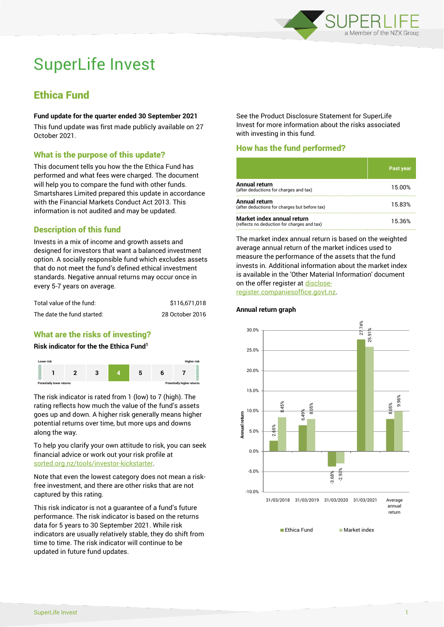

# SuperLife Invest

# Ethica Fund

#### **Fund update for the quarter ended 30 September 2021**

This fund update was first made publicly available on 27

## What is the purpose of this update?

This document tells you how the the Ethica Fund has performed and what fees were charged. The document will help you to compare the fund with other funds. Smartshares Limited prepared this update in accordance with the Financial Markets Conduct Act 2013. This information is not audited and may be updated.

# Description of this fund

Invests in a mix of income and growth assets and designed for investors that want a balanced investment option. A socially responsible fund which excludes assets that do not meet the fund's defined ethical investment standards. Negative annual returns may occur once in every 5-7 years on average.

| Total value of the fund:   | \$116.671.018   |
|----------------------------|-----------------|
| The date the fund started: | 28 October 2016 |

# What are the risks of investing?

### **Risk indicator for the the Ethica Fund<sup>1</sup>**



The risk indicator is rated from 1 (low) to 7 (high). The rating reflects how much the value of the fund's assets goes up and down. A higher risk generally means higher potential returns over time, but more ups and downs along the way.

To help you clarify your own attitude to risk, you can seek financial advice or work out your risk profile at [sorted.org.nz/tools/investor-kickstarter.](http://www.sorted.org.nz/tools/investor-kickstarter)

Note that even the lowest category does not mean a riskfree investment, and there are other risks that are not captured by this rating.

This risk indicator is not a guarantee of a fund's future performance. The risk indicator is based on the returns data for 5 years to 30 September 2021. While risk indicators are usually relatively stable, they do shift from time to time. The risk indicator will continue to be updated in future fund updates.

See the Product Disclosure Statement for SuperLife Invest for more information about the risks associated with investing in this fund.

# How has the fund performed?

|                                                                           | Past year |
|---------------------------------------------------------------------------|-----------|
| Annual return<br>(after deductions for charges and tax)                   | 15.00%    |
| Annual return<br>(after deductions for charges but before tax)            | 15.83%    |
| Market index annual return<br>(reflects no deduction for charges and tax) | 15.36%    |

The market index annual return is based on the weighted average annual return of the market indices used to measure the performance of the assets that the fund invests in. Additional information about the market index is available in the 'Other Material Information' document on the offer register a[t disclose-](http://www.disclose-register.companiesoffice.govt.nz/)

[register.companiesoffice.govt.nz.](http://www.disclose-register.companiesoffice.govt.nz/)

### **Annual return graph**



**Ethica Fund** Market index

# October 2021.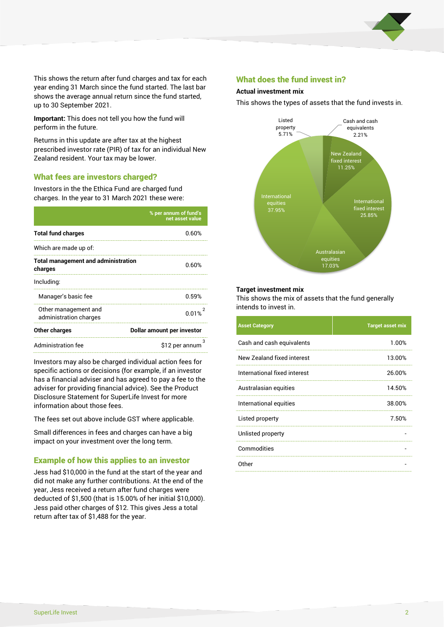

This shows the return after fund charges and tax for each year ending 31 March since the fund started. The last bar shows the average annual return since the fund started, up to 30 September 2021.

**Important:** This does not tell you how the fund will perform in the future.

Returns in this update are after tax at the highest prescribed investor rate (PIR) of tax for an individual New Zealand resident. Your tax may be lower.

### What fees are investors charged?

Investors in the the Ethica Fund are charged fund charges. In the year to 31 March 2021 these were:

|                                                       | % per annum of fund's<br>net asset value |  |
|-------------------------------------------------------|------------------------------------------|--|
| <b>Total fund charges</b>                             | 0.60%                                    |  |
| Which are made up of:                                 |                                          |  |
| <b>Total management and administration</b><br>charges | 0.60%                                    |  |
| Including:                                            |                                          |  |
| Manager's basic fee                                   | 0.59%                                    |  |
| Other management and<br>administration charges        | 0.01%                                    |  |
| Other charges                                         | Dollar amount per investor               |  |
| Administration fee                                    | з<br>\$12 per annum                      |  |

Investors may also be charged individual action fees for specific actions or decisions (for example, if an investor has a financial adviser and has agreed to pay a fee to the adviser for providing financial advice). See the Product Disclosure Statement for SuperLife Invest for more information about those fees.

The fees set out above include GST where applicable.

Small differences in fees and charges can have a big impact on your investment over the long term.

### Example of how this applies to an investor

Jess had \$10,000 in the fund at the start of the year and did not make any further contributions. At the end of the year, Jess received a return after fund charges were deducted of \$1,500 (that is 15.00% of her initial \$10,000). Jess paid other charges of \$12. This gives Jess a total return after tax of \$1,488 for the year.

#### What does the fund invest in?

#### **Actual investment mix**

This shows the types of assets that the fund invests in.



#### **Target investment mix**

This shows the mix of assets that the fund generally intends to invest in.

| <b>Asset Category</b>        | <b>Target asset mix</b> |
|------------------------------|-------------------------|
| Cash and cash equivalents    | 1.00%                   |
| New Zealand fixed interest   | 13.00%                  |
| International fixed interest | 26.00%                  |
| Australasian equities        | 14.50%                  |
| International equities       | 38.00%                  |
| Listed property              | 7.50%                   |
| Unlisted property            |                         |
| Commodities                  |                         |
| Other                        |                         |